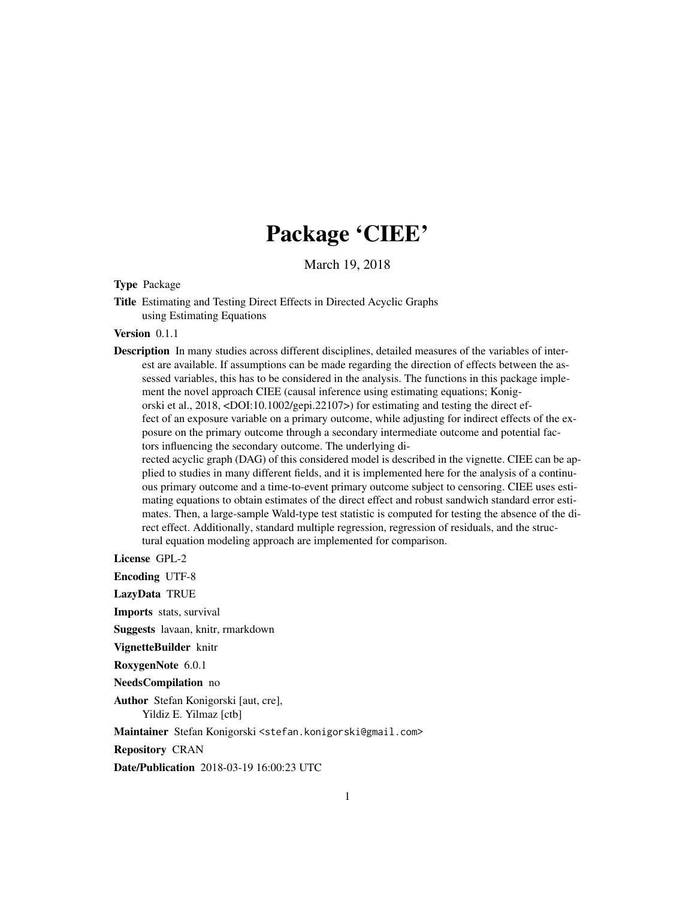# Package 'CIEE'

March 19, 2018

<span id="page-0-0"></span>Type Package

Title Estimating and Testing Direct Effects in Directed Acyclic Graphs using Estimating Equations

Version 0.1.1

Description In many studies across different disciplines, detailed measures of the variables of interest are available. If assumptions can be made regarding the direction of effects between the assessed variables, this has to be considered in the analysis. The functions in this package implement the novel approach CIEE (causal inference using estimating equations; Konigorski et al., 2018, <DOI:10.1002/gepi.22107>) for estimating and testing the direct effect of an exposure variable on a primary outcome, while adjusting for indirect effects of the exposure on the primary outcome through a secondary intermediate outcome and potential factors influencing the secondary outcome. The underlying directed acyclic graph (DAG) of this considered model is described in the vignette. CIEE can be applied to studies in many different fields, and it is implemented here for the analysis of a continu-

ous primary outcome and a time-to-event primary outcome subject to censoring. CIEE uses estimating equations to obtain estimates of the direct effect and robust sandwich standard error estimates. Then, a large-sample Wald-type test statistic is computed for testing the absence of the direct effect. Additionally, standard multiple regression, regression of residuals, and the structural equation modeling approach are implemented for comparison.

License GPL-2

Encoding UTF-8

LazyData TRUE

Imports stats, survival

Suggests lavaan, knitr, rmarkdown

VignetteBuilder knitr

RoxygenNote 6.0.1

NeedsCompilation no

Author Stefan Konigorski [aut, cre], Yildiz E. Yilmaz [ctb]

Maintainer Stefan Konigorski <stefan.konigorski@gmail.com>

Repository CRAN

Date/Publication 2018-03-19 16:00:23 UTC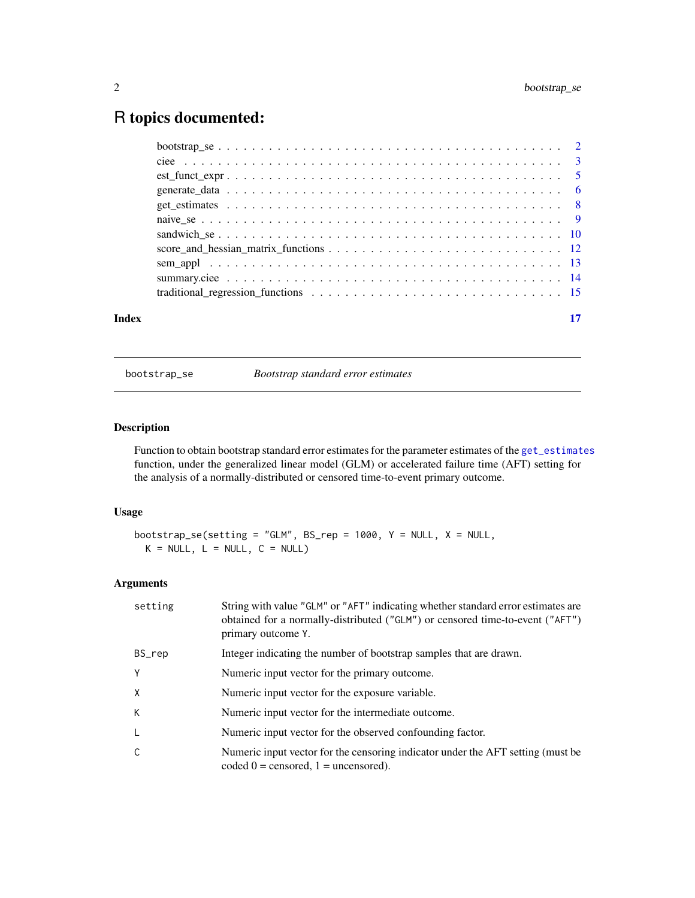# <span id="page-1-0"></span>R topics documented:

| Index |  |
|-------|--|

<span id="page-1-1"></span>bootstrap\_se *Bootstrap standard error estimates*

# Description

Function to obtain bootstrap standard error estimates for the parameter estimates of the [get\\_estimates](#page-7-1) function, under the generalized linear model (GLM) or accelerated failure time (AFT) setting for the analysis of a normally-distributed or censored time-to-event primary outcome.

# Usage

```
bootstrap_se(setting = "GLM", BS_rep = 1000, Y = NULL, X = NULL,
 K = NULL, L = NULL, C = NULL)
```
# Arguments

| setting | String with value "GLM" or "AFT" indicating whether standard error estimates are<br>obtained for a normally-distributed ("GLM") or censored time-to-event ("AFT")<br>primary outcome Y. |
|---------|-----------------------------------------------------------------------------------------------------------------------------------------------------------------------------------------|
| BS_rep  | Integer indicating the number of bootstrap samples that are drawn.                                                                                                                      |
| Y       | Numeric input vector for the primary outcome.                                                                                                                                           |
| X       | Numeric input vector for the exposure variable.                                                                                                                                         |
| K       | Numeric input vector for the intermediate outcome.                                                                                                                                      |
| L       | Numeric input vector for the observed confounding factor.                                                                                                                               |
| C       | Numeric input vector for the censoring indicator under the AFT setting (must be<br>coded $0 =$ censored, $1 =$ uncensored).                                                             |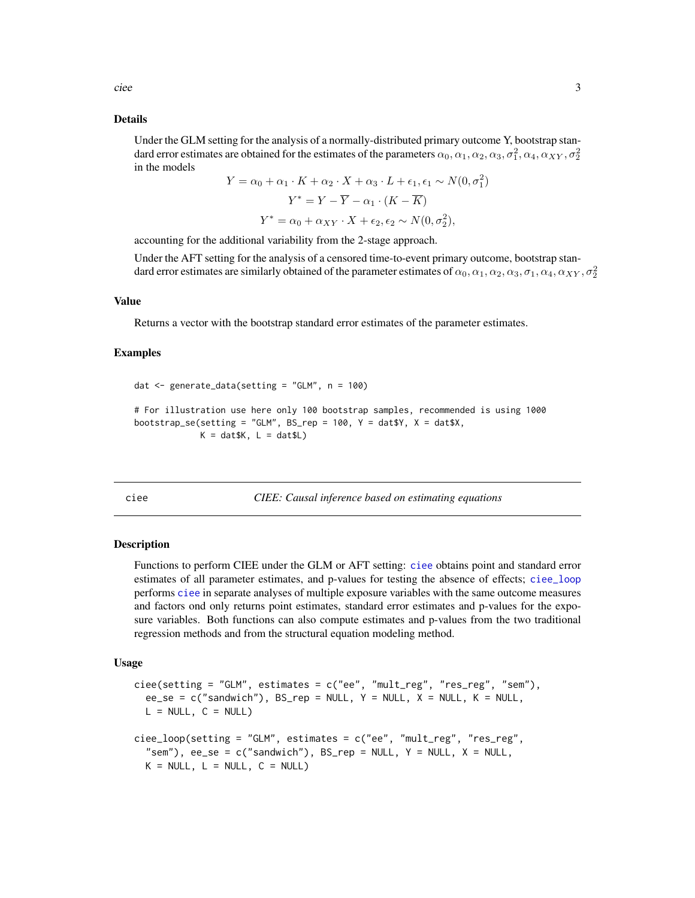<span id="page-2-0"></span>ciee 3

#### Details

Under the GLM setting for the analysis of a normally-distributed primary outcome Y, bootstrap standard error estimates are obtained for the estimates of the parameters  $\alpha_0,\alpha_1,\alpha_2,\alpha_3,\sigma_1^2,\alpha_4,\alpha_{XY},\sigma_2^2$ in the models

$$
Y = \alpha_0 + \alpha_1 \cdot K + \alpha_2 \cdot X + \alpha_3 \cdot L + \epsilon_1, \epsilon_1 \sim N(0, \sigma_1^2)
$$

$$
Y^* = Y - \overline{Y} - \alpha_1 \cdot (K - \overline{K})
$$

$$
Y^* = \alpha_0 + \alpha_{XY} \cdot X + \epsilon_2, \epsilon_2 \sim N(0, \sigma_2^2),
$$

accounting for the additional variability from the 2-stage approach.

Under the AFT setting for the analysis of a censored time-to-event primary outcome, bootstrap standard error estimates are similarly obtained of the parameter estimates of  $\alpha_0,\alpha_1,\alpha_2,\alpha_3,\sigma_1,\alpha_4,\alpha_{XY},\sigma_2^2$ 

#### Value

Returns a vector with the bootstrap standard error estimates of the parameter estimates.

#### Examples

```
dat <- generate_data(setting = "GLM", n = 100)
# For illustration use here only 100 bootstrap samples, recommended is using 1000
bootstrap_se(setting = "GLM", BS_rep = 100, Y = \text{dat$Y, X = \text{dat$X,}}K = dat$K, L = dat$L)
```
<span id="page-2-1"></span>ciee *CIEE: Causal inference based on estimating equations*

#### <span id="page-2-2"></span>**Description**

Functions to perform CIEE under the GLM or AFT setting: [ciee](#page-2-1) obtains point and standard error estimates of all parameter estimates, and p-values for testing the absence of effects; [ciee\\_loop](#page-2-2) performs [ciee](#page-2-1) in separate analyses of multiple exposure variables with the same outcome measures and factors ond only returns point estimates, standard error estimates and p-values for the exposure variables. Both functions can also compute estimates and p-values from the two traditional regression methods and from the structural equation modeling method.

#### Usage

```
ciee(setting = "GLM", estimates = c("ee", "mult_reg", "res_reg", "sem"),ee<sub>_Se</sub> = c("sandwich"), BS_rep = NULL, Y = NULL, X = NULL, K = NULL,
 L = NULL, C = NULL)cice\_loop(setting = "GLM", estimates = c("ee", "mult_reg", "res_reg","sem"), ee_se = c("sandwich"), BS_{rep} = NULL, Y = NULL, X = NULL,
  K = NULL, L = NULL, C = NULL)
```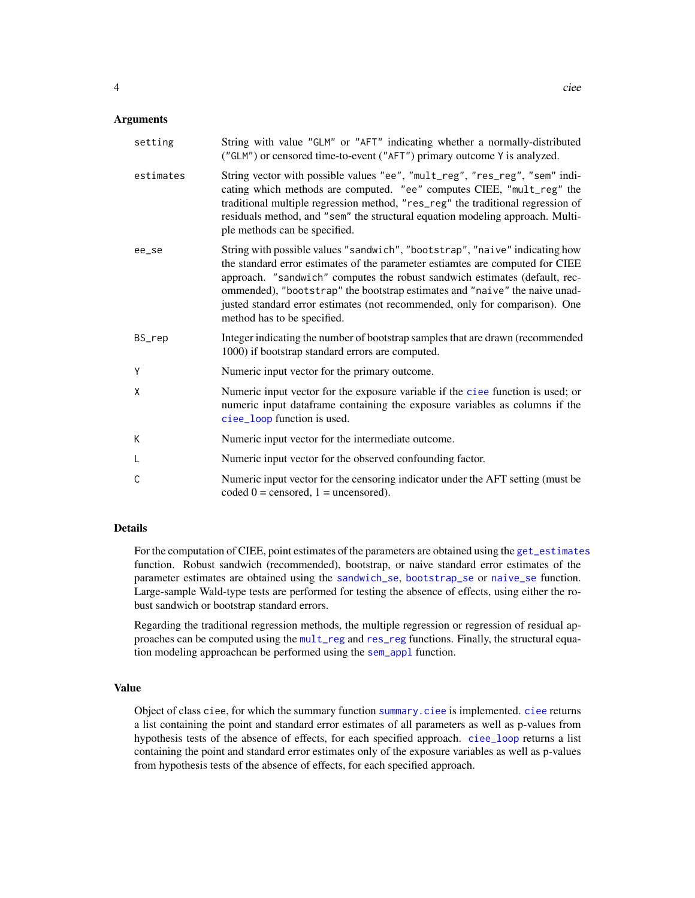<span id="page-3-0"></span>

| setting   | String with value "GLM" or "AFT" indicating whether a normally-distributed<br>("GLM") or censored time-to-event ("AFT") primary outcome Y is analyzed.                                                                                                                                                                                                                                                                                 |
|-----------|----------------------------------------------------------------------------------------------------------------------------------------------------------------------------------------------------------------------------------------------------------------------------------------------------------------------------------------------------------------------------------------------------------------------------------------|
| estimates | String vector with possible values "ee", "mult_reg", "res_reg", "sem" indi-<br>cating which methods are computed. "ee" computes CIEE, "mult_reg" the<br>traditional multiple regression method, "res_reg" the traditional regression of<br>residuals method, and "sem" the structural equation modeling approach. Multi-<br>ple methods can be specified.                                                                              |
| ee_se     | String with possible values "sandwich", "bootstrap", "naive" indicating how<br>the standard error estimates of the parameter estiamtes are computed for CIEE<br>approach. "sandwich" computes the robust sandwich estimates (default, rec-<br>ommended), "bootstrap" the bootstrap estimates and "naive" the naive unad-<br>justed standard error estimates (not recommended, only for comparison). One<br>method has to be specified. |
| BS_rep    | Integer indicating the number of bootstrap samples that are drawn (recommended<br>1000) if bootstrap standard errors are computed.                                                                                                                                                                                                                                                                                                     |
| Y         | Numeric input vector for the primary outcome.                                                                                                                                                                                                                                                                                                                                                                                          |
| X         | Numeric input vector for the exposure variable if the ciee function is used; or<br>numeric input dataframe containing the exposure variables as columns if the<br>ciee_loop function is used.                                                                                                                                                                                                                                          |
| K         | Numeric input vector for the intermediate outcome.                                                                                                                                                                                                                                                                                                                                                                                     |
| L         | Numeric input vector for the observed confounding factor.                                                                                                                                                                                                                                                                                                                                                                              |
| C         | Numeric input vector for the censoring indicator under the AFT setting (must be<br>coded $0 =$ censored, $1 =$ uncensored).                                                                                                                                                                                                                                                                                                            |

# Details

For the computation of CIEE, point estimates of the parameters are obtained using the [get\\_estimates](#page-7-1) function. Robust sandwich (recommended), bootstrap, or naive standard error estimates of the parameter estimates are obtained using the [sandwich\\_se](#page-9-1), [bootstrap\\_se](#page-1-1) or [naive\\_se](#page-8-1) function. Large-sample Wald-type tests are performed for testing the absence of effects, using either the robust sandwich or bootstrap standard errors.

Regarding the traditional regression methods, the multiple regression or regression of residual approaches can be computed using the [mult\\_reg](#page-14-1) and [res\\_reg](#page-14-1) functions. Finally, the structural equation modeling approachcan be performed using the [sem\\_appl](#page-12-1) function.

#### Value

Object of class ciee, for which the summary function [summary.ciee](#page-13-1) is implemented. [ciee](#page-2-1) returns a list containing the point and standard error estimates of all parameters as well as p-values from hypothesis tests of the absence of effects, for each specified approach. [ciee\\_loop](#page-2-2) returns a list containing the point and standard error estimates only of the exposure variables as well as p-values from hypothesis tests of the absence of effects, for each specified approach.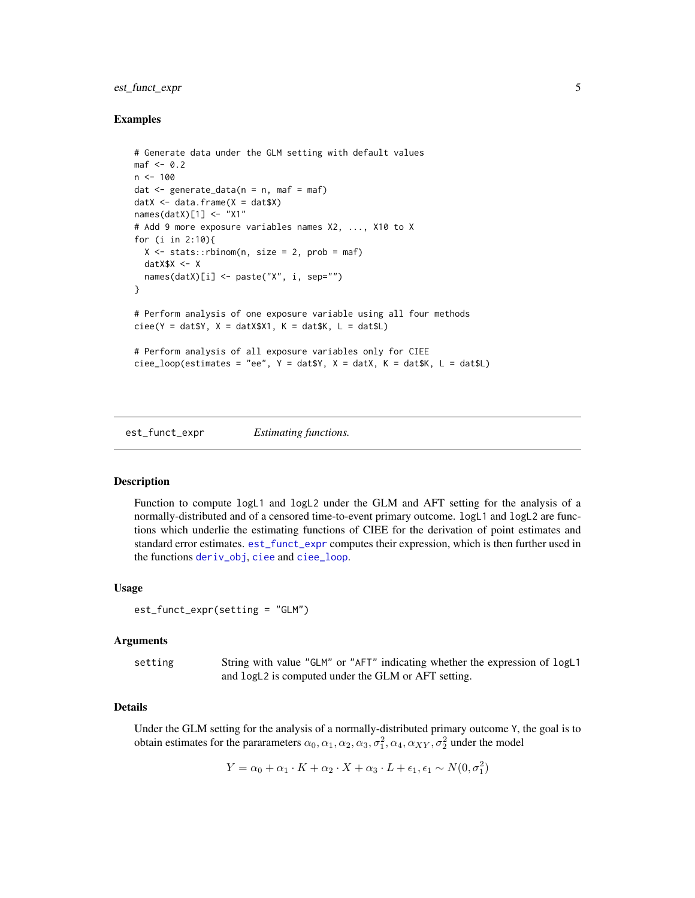# <span id="page-4-0"></span>est\_funct\_expr 5

# Examples

```
# Generate data under the GLM setting with default values
\text{maf} \leq -0.2n < - 100dat \leq generate_data(n = n, maf = maf)
datX \leq data.frame(X = dat$X)
names(datX)[1] <- "X1"
# Add 9 more exposure variables names X2, ..., X10 to X
for (i in 2:10){
  X \le - stats::rbinom(n, size = 2, prob = maf)
  datX$X <- X
  names(datX)[i] <- paste("X", i, sep="")
}
# Perform analysis of one exposure variable using all four methods
cice(Y = datSY, X = datX$X1, K = dat$K, L = dat$L)# Perform analysis of all exposure variables only for CIEE
ciee_loop(estimates = "ee", Y = \text{dat$Y, X = \text{dat}X, K = \text{dat$K, L = \text{dat$L$}}
```
<span id="page-4-1"></span>est\_funct\_expr *Estimating functions.*

# Description

Function to compute logL1 and logL2 under the GLM and AFT setting for the analysis of a normally-distributed and of a censored time-to-event primary outcome. logL1 and logL2 are functions which underlie the estimating functions of CIEE for the derivation of point estimates and standard error estimates. [est\\_funct\\_expr](#page-4-1) computes their expression, which is then further used in the functions [deriv\\_obj](#page-11-1), [ciee](#page-2-1) and [ciee\\_loop](#page-2-2).

#### Usage

```
est_funct_expr(setting = "GLM")
```
#### Arguments

setting String with value "GLM" or "AFT" indicating whether the expression of logL1 and logL2 is computed under the GLM or AFT setting.

#### Details

Under the GLM setting for the analysis of a normally-distributed primary outcome Y, the goal is to obtain estimates for the pararameters  $\alpha_0, \alpha_1, \alpha_2, \alpha_3, \sigma_1^2, \alpha_4, \alpha_{XY}, \sigma_2^2$  under the model

$$
Y = \alpha_0 + \alpha_1 \cdot K + \alpha_2 \cdot X + \alpha_3 \cdot L + \epsilon_1, \epsilon_1 \sim N(0, \sigma_1^2)
$$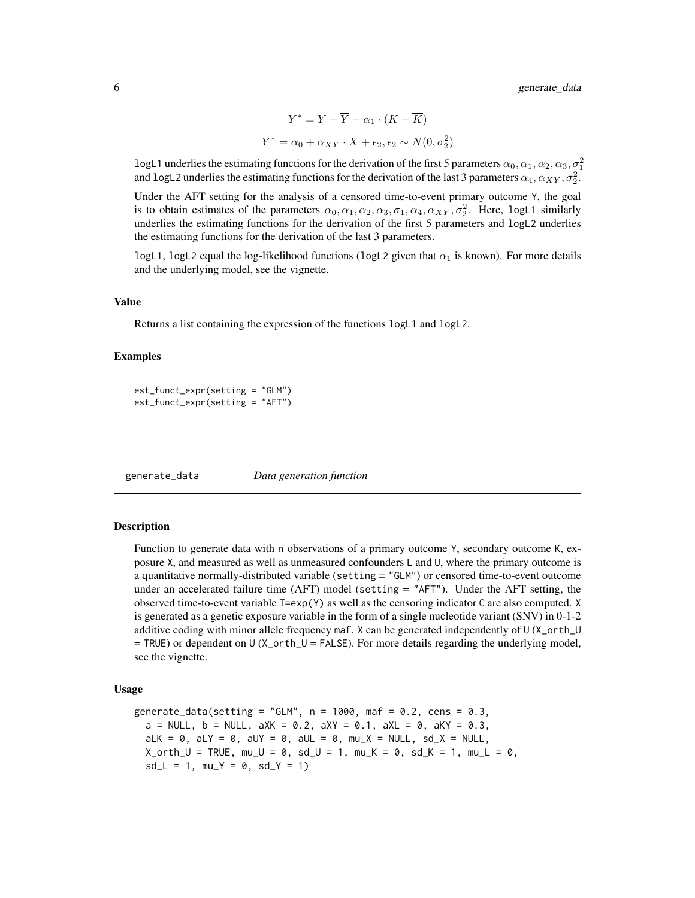$$
Y^* = Y - \overline{Y} - \alpha_1 \cdot (K - \overline{K})
$$

$$
Y^* = \alpha_0 + \alpha_{XY} \cdot X + \epsilon_2, \epsilon_2 \sim N(0, \sigma_2^2)
$$

<span id="page-5-0"></span>logL1 underlies the estimating functions for the derivation of the first 5 parameters  $\alpha_0, \alpha_1, \alpha_2, \alpha_3, \sigma_1^2$ and logL2 underlies the estimating functions for the derivation of the last 3 parameters  $\alpha_4, \alpha_{XY}, \sigma_2^2$ .

Under the AFT setting for the analysis of a censored time-to-event primary outcome Y, the goal is to obtain estimates of the parameters  $\alpha_0, \alpha_1, \alpha_2, \alpha_3, \sigma_1, \alpha_4, \alpha_{XY}, \sigma_2^2$ . Here, logL1 similarly underlies the estimating functions for the derivation of the first 5 parameters and logL2 underlies the estimating functions for the derivation of the last 3 parameters.

logL1, logL2 equal the log-likelihood functions (logL2 given that  $\alpha_1$  is known). For more details and the underlying model, see the vignette.

#### Value

Returns a list containing the expression of the functions logL1 and logL2.

#### Examples

```
est_funct_expr(setting = "GLM")
est_funct_expr(setting = "AFT")
```
generate\_data *Data generation function*

#### Description

Function to generate data with n observations of a primary outcome Y, secondary outcome K, exposure X, and measured as well as unmeasured confounders L and U, where the primary outcome is a quantitative normally-distributed variable (setting = "GLM") or censored time-to-event outcome under an accelerated failure time (AFT) model (setting = "AFT"). Under the AFT setting, the observed time-to-event variable T=exp(Y) as well as the censoring indicator C are also computed. X is generated as a genetic exposure variable in the form of a single nucleotide variant (SNV) in 0-1-2 additive coding with minor allele frequency maf. X can be generated independently of U (X\_orth\_U  $=$  TRUE) or dependent on U (X\_orth\_U = FALSE). For more details regarding the underlying model, see the vignette.

#### Usage

generate\_data(setting = "GLM",  $n = 1000$ , maf = 0.2, cens = 0.3,  $a = NULL$ ,  $b = NULL$ ,  $aXK = 0.2$ ,  $aXY = 0.1$ ,  $aXL = 0$ ,  $aKY = 0.3$ ,  $aLK = 0$ ,  $aLY = 0$ ,  $aUY = 0$ ,  $aUL = 0$ ,  $mu_X = NULL$ ,  $sd_X = NULL$  $X_orth\_U = TRUE, mu\_U = 0, sd\_U = 1, mu_K = 0, sd_K = 1, mu_L = 0,$  $sd_L = 1$ ,  $mu_Y = 0$ ,  $sd_Y = 1$ )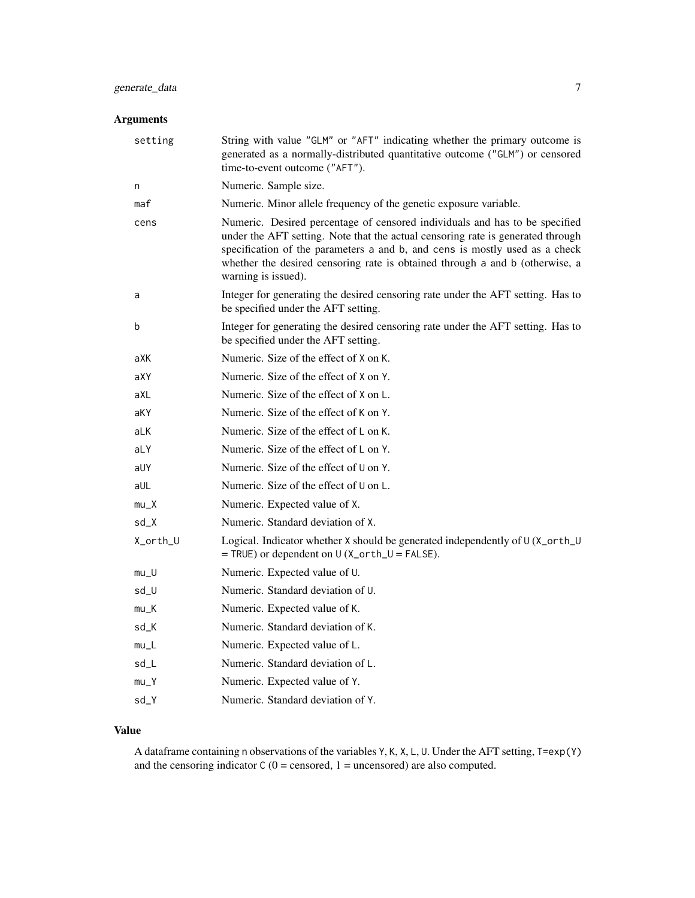# Arguments

| setting  | String with value "GLM" or "AFT" indicating whether the primary outcome is<br>generated as a normally-distributed quantitative outcome ("GLM") or censored<br>time-to-event outcome ("AFT").                                                                                                                                                         |
|----------|------------------------------------------------------------------------------------------------------------------------------------------------------------------------------------------------------------------------------------------------------------------------------------------------------------------------------------------------------|
| n        | Numeric. Sample size.                                                                                                                                                                                                                                                                                                                                |
| maf      | Numeric. Minor allele frequency of the genetic exposure variable.                                                                                                                                                                                                                                                                                    |
| cens     | Numeric. Desired percentage of censored individuals and has to be specified<br>under the AFT setting. Note that the actual censoring rate is generated through<br>specification of the parameters a and b, and cens is mostly used as a check<br>whether the desired censoring rate is obtained through a and b (otherwise, a<br>warning is issued). |
| a        | Integer for generating the desired censoring rate under the AFT setting. Has to<br>be specified under the AFT setting.                                                                                                                                                                                                                               |
| b        | Integer for generating the desired censoring rate under the AFT setting. Has to<br>be specified under the AFT setting.                                                                                                                                                                                                                               |
| aXK      | Numeric. Size of the effect of X on K.                                                                                                                                                                                                                                                                                                               |
| aXY      | Numeric. Size of the effect of X on Y.                                                                                                                                                                                                                                                                                                               |
| aXL      | Numeric. Size of the effect of X on L.                                                                                                                                                                                                                                                                                                               |
| aKY      | Numeric. Size of the effect of K on Y.                                                                                                                                                                                                                                                                                                               |
| aLK      | Numeric. Size of the effect of L on K.                                                                                                                                                                                                                                                                                                               |
| aLY      | Numeric. Size of the effect of $L$ on $Y$ .                                                                                                                                                                                                                                                                                                          |
| aUY      | Numeric. Size of the effect of U on Y.                                                                                                                                                                                                                                                                                                               |
| aUL      | Numeric. Size of the effect of U on L.                                                                                                                                                                                                                                                                                                               |
| $mu_X$   | Numeric. Expected value of X.                                                                                                                                                                                                                                                                                                                        |
| $sd_X$   | Numeric. Standard deviation of X.                                                                                                                                                                                                                                                                                                                    |
| X_orth_U | Logical. Indicator whether X should be generated independently of U (X_orth_U<br>$=$ TRUE) or dependent on U (X_orth_U = FALSE).                                                                                                                                                                                                                     |
| $mu_U$   | Numeric. Expected value of U.                                                                                                                                                                                                                                                                                                                        |
| sd_U     | Numeric. Standard deviation of U.                                                                                                                                                                                                                                                                                                                    |
| $mu_K$   | Numeric. Expected value of K.                                                                                                                                                                                                                                                                                                                        |
| sd_K     | Numeric. Standard deviation of K.                                                                                                                                                                                                                                                                                                                    |
| $mu_L$   | Numeric. Expected value of L.                                                                                                                                                                                                                                                                                                                        |
| sd_L     | Numeric. Standard deviation of L.                                                                                                                                                                                                                                                                                                                    |
| $mu_Y$   | Numeric. Expected value of Y.                                                                                                                                                                                                                                                                                                                        |
| sd_Y     | Numeric. Standard deviation of Y.                                                                                                                                                                                                                                                                                                                    |

# Value

A dataframe containing n observations of the variables Y, K, X, L, U. Under the AFT setting, T=exp(Y) and the censoring indicator  $C(0 =$  censored,  $1 =$  uncensored) are also computed.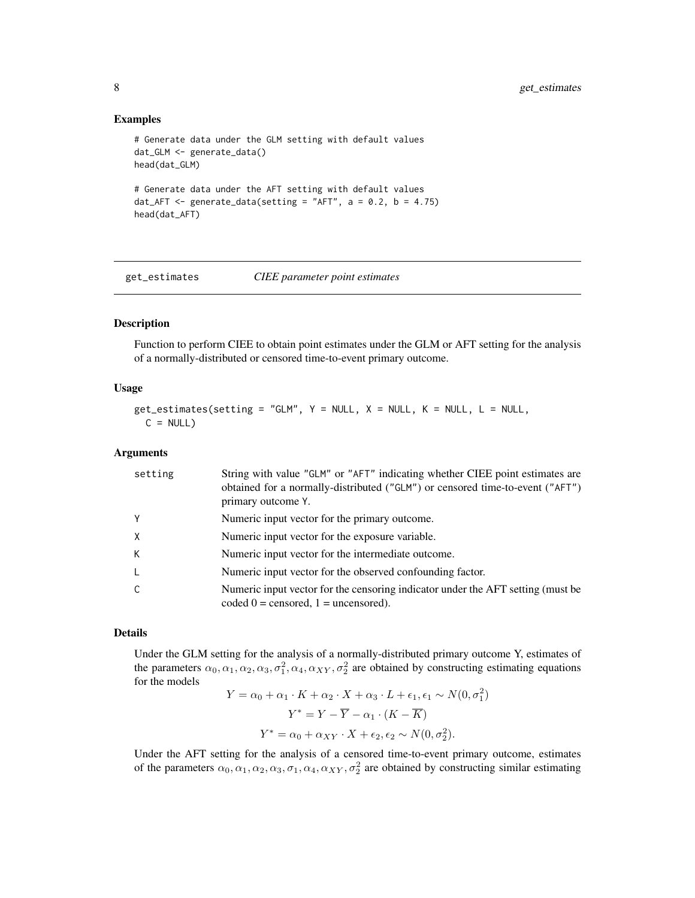#### Examples

```
# Generate data under the GLM setting with default values
dat_GLM <- generate_data()
head(dat_GLM)
# Generate data under the AFT setting with default values
dat_AFT <- generate_data(setting = "AFT", a = 0.2, b = 4.75)
head(dat_AFT)
```
<span id="page-7-1"></span>get\_estimates *CIEE parameter point estimates*

# Description

Function to perform CIEE to obtain point estimates under the GLM or AFT setting for the analysis of a normally-distributed or censored time-to-event primary outcome.

#### Usage

```
get\_estimates(setting = "GLM", Y = NULL, X = NULL, K = NULL, L = NULL,C = NULL
```
#### Arguments

| setting  | String with value "GLM" or "AFT" indicating whether CIEE point estimates are<br>obtained for a normally-distributed ("GLM") or censored time-to-event ("AFT")<br>primary outcome Y. |
|----------|-------------------------------------------------------------------------------------------------------------------------------------------------------------------------------------|
| Y        | Numeric input vector for the primary outcome.                                                                                                                                       |
| $\times$ | Numeric input vector for the exposure variable.                                                                                                                                     |
| К        | Numeric input vector for the intermediate outcome.                                                                                                                                  |
| -L       | Numeric input vector for the observed confounding factor.                                                                                                                           |
| C        | Numeric input vector for the censoring indicator under the AFT setting (must be<br>coded $0 =$ censored, $1 =$ uncensored).                                                         |

# Details

Under the GLM setting for the analysis of a normally-distributed primary outcome Y, estimates of the parameters  $\alpha_0, \alpha_1, \alpha_2, \alpha_3, \sigma_1^2, \alpha_4, \alpha_{XY}, \sigma_2^2$  are obtained by constructing estimating equations for the models

$$
Y = \alpha_0 + \alpha_1 \cdot K + \alpha_2 \cdot X + \alpha_3 \cdot L + \epsilon_1, \epsilon_1 \sim N(0, \sigma_1^2)
$$

$$
Y^* = Y - \overline{Y} - \alpha_1 \cdot (K - \overline{K})
$$

$$
Y^* = \alpha_0 + \alpha_{XY} \cdot X + \epsilon_2, \epsilon_2 \sim N(0, \sigma_2^2).
$$

Under the AFT setting for the analysis of a censored time-to-event primary outcome, estimates of the parameters  $\alpha_0, \alpha_1, \alpha_2, \alpha_3, \sigma_1, \alpha_4, \alpha_{XY}, \sigma_2^2$  are obtained by constructing similar estimating

<span id="page-7-0"></span>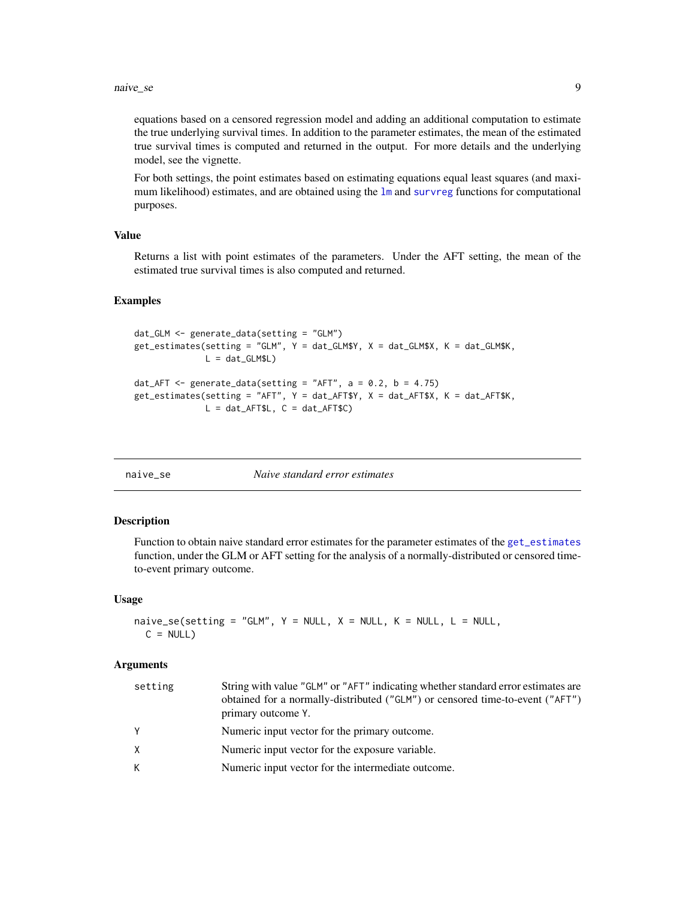<span id="page-8-0"></span>equations based on a censored regression model and adding an additional computation to estimate the true underlying survival times. In addition to the parameter estimates, the mean of the estimated true survival times is computed and returned in the output. For more details and the underlying model, see the vignette.

For both settings, the point estimates based on estimating equations equal least squares (and maximum likelihood) estimates, and are obtained using the  $\text{lm}$  $\text{lm}$  $\text{lm}$  and [survreg](#page-0-0) functions for computational purposes.

#### Value

Returns a list with point estimates of the parameters. Under the AFT setting, the mean of the estimated true survival times is also computed and returned.

#### Examples

```
dat_GLM <- generate_data(setting = "GLM")
get_estimates(setting = "GLM", Y = dat_GLM$Y, X = dat_GLM$X, K = dat_GLM$K,
             L = dat_GLM$L)dat_AFT \leq generate_data(setting = "AFT", a = 0.2, b = 4.75)
get_estimates(setting = "AFT", Y = dat_AFT$Y, X = dat_AFT$X, K = dat_AFT$K,
             L = dat_AFT$L, C = dat_AFT$C)
```
<span id="page-8-1"></span>

|  | naive se |
|--|----------|
|  |          |

#### naive\_se *Naive standard error estimates*

#### **Description**

Function to obtain naive standard error estimates for the parameter estimates of the [get\\_estimates](#page-7-1) function, under the GLM or AFT setting for the analysis of a normally-distributed or censored timeto-event primary outcome.

#### Usage

```
naive_se(setting = "GLM", Y = NULL, X = NULL, K = NULL, L = NULL,
 C = NULL
```
#### Arguments

| setting | String with value "GLM" or "AFT" indicating whether standard error estimates are<br>obtained for a normally-distributed ("GLM") or censored time-to-event ("AFT")<br>primary outcome Y. |
|---------|-----------------------------------------------------------------------------------------------------------------------------------------------------------------------------------------|
| Y       | Numeric input vector for the primary outcome.                                                                                                                                           |
| X       | Numeric input vector for the exposure variable.                                                                                                                                         |
| K       | Numeric input vector for the intermediate outcome.                                                                                                                                      |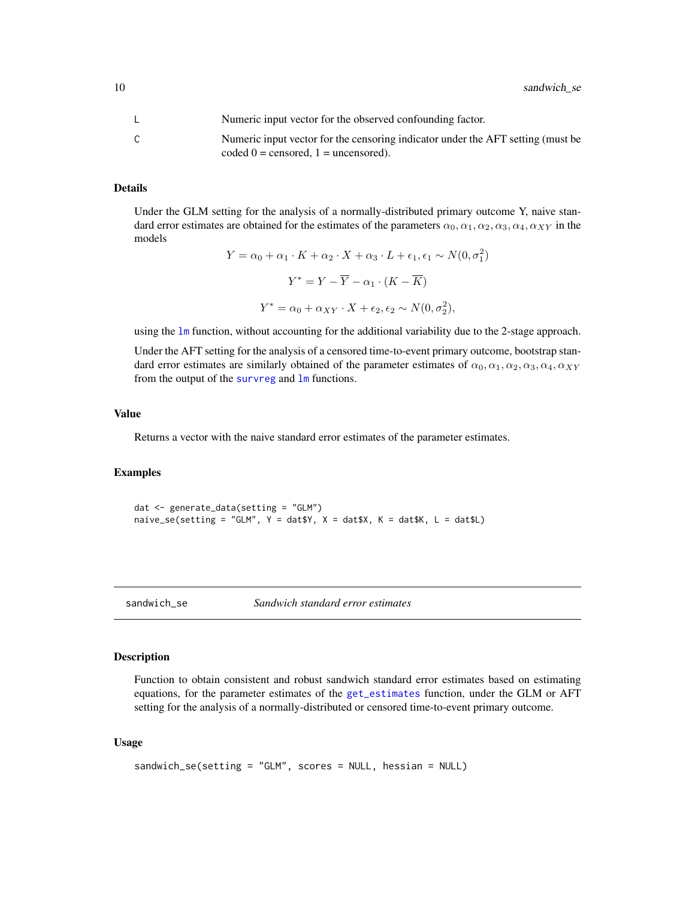<span id="page-9-0"></span>10 sandwich\_se

| Numeric input vector for the observed confounding factor.                                                                   |
|-----------------------------------------------------------------------------------------------------------------------------|
| Numeric input vector for the censoring indicator under the AFT setting (must be<br>coded $0 =$ censored, $1 =$ uncensored). |

# Details

Under the GLM setting for the analysis of a normally-distributed primary outcome Y, naive standard error estimates are obtained for the estimates of the parameters  $\alpha_0, \alpha_1, \alpha_2, \alpha_3, \alpha_4, \alpha_{XY}$  in the models

$$
Y = \alpha_0 + \alpha_1 \cdot K + \alpha_2 \cdot X + \alpha_3 \cdot L + \epsilon_1, \epsilon_1 \sim N(0, \sigma_1^2)
$$

$$
Y^* = Y - \overline{Y} - \alpha_1 \cdot (K - \overline{K})
$$

$$
Y^* = \alpha_0 + \alpha_{XY} \cdot X + \epsilon_2, \epsilon_2 \sim N(0, \sigma_2^2),
$$

using the [lm](#page-0-0) function, without accounting for the additional variability due to the 2-stage approach.

Under the AFT setting for the analysis of a censored time-to-event primary outcome, bootstrap standard error estimates are similarly obtained of the parameter estimates of  $\alpha_0, \alpha_1, \alpha_2, \alpha_3, \alpha_4, \alpha_{XY}$ from the output of the [survreg](#page-0-0) and [lm](#page-0-0) functions.

#### Value

Returns a vector with the naive standard error estimates of the parameter estimates.

#### Examples

dat <- generate\_data(setting = "GLM") naive\_se(setting = "GLM",  $Y = d$ at\$Y,  $X = d$ at\$X,  $K = d$ at\$K,  $L = d$ at\$L)

<span id="page-9-1"></span>

sandwich\_se *Sandwich standard error estimates*

### Description

Function to obtain consistent and robust sandwich standard error estimates based on estimating equations, for the parameter estimates of the [get\\_estimates](#page-7-1) function, under the GLM or AFT setting for the analysis of a normally-distributed or censored time-to-event primary outcome.

#### Usage

```
sandwich_se(setting = "GLM", scores = NULL, hessian = NULL)
```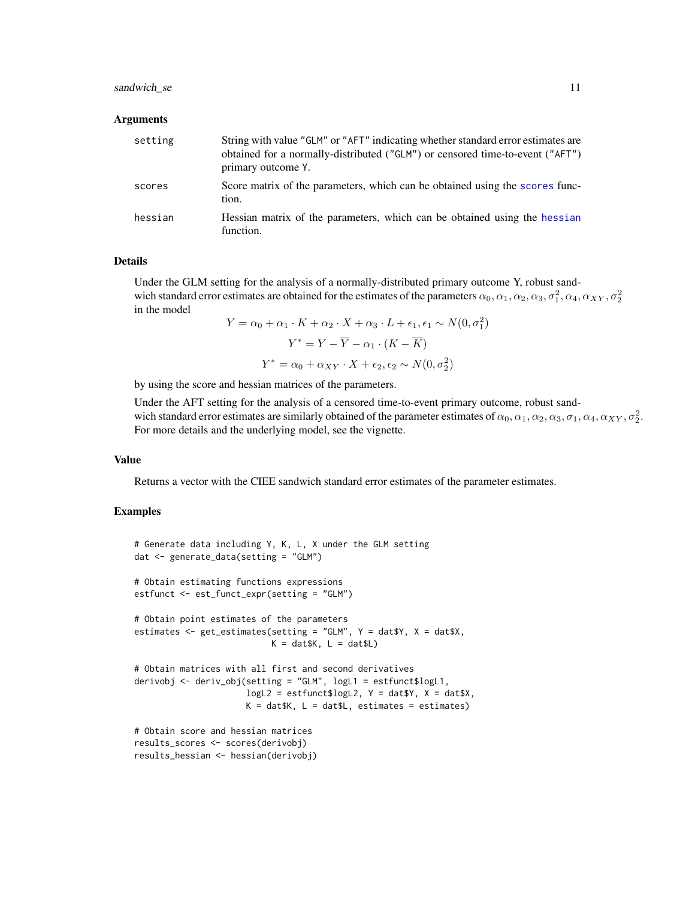# <span id="page-10-0"></span>sandwich\_se 11

#### **Arguments**

| setting | String with value "GLM" or "AFT" indicating whether standard error estimates are<br>obtained for a normally-distributed ("GLM") or censored time-to-event ("AFT")<br>primary outcome Y. |
|---------|-----------------------------------------------------------------------------------------------------------------------------------------------------------------------------------------|
| scores  | Score matrix of the parameters, which can be obtained using the scores func-<br>tion.                                                                                                   |
| hessian | Hessian matrix of the parameters, which can be obtained using the hessian<br>function.                                                                                                  |

#### Details

Under the GLM setting for the analysis of a normally-distributed primary outcome Y, robust sandwich standard error estimates are obtained for the estimates of the parameters  $\alpha_0,\alpha_1,\alpha_2,\alpha_3,\sigma_1^2,\alpha_4,\alpha_{XY},\sigma_2^2$ in the model

$$
Y = \alpha_0 + \alpha_1 \cdot K + \alpha_2 \cdot X + \alpha_3 \cdot L + \epsilon_1, \epsilon_1 \sim N(0, \sigma_1^2)
$$

$$
Y^* = Y - \overline{Y} - \alpha_1 \cdot (K - \overline{K})
$$

$$
Y^* = \alpha_0 + \alpha_{XY} \cdot X + \epsilon_2, \epsilon_2 \sim N(0, \sigma_2^2)
$$

by using the score and hessian matrices of the parameters.

Under the AFT setting for the analysis of a censored time-to-event primary outcome, robust sandwich standard error estimates are similarly obtained of the parameter estimates of  $\alpha_0, \alpha_1, \alpha_2, \alpha_3, \sigma_1, \alpha_4, \alpha_{XY}, \sigma_2^2$ . For more details and the underlying model, see the vignette.

#### Value

Returns a vector with the CIEE sandwich standard error estimates of the parameter estimates.

# Examples

```
# Generate data including Y, K, L, X under the GLM setting
dat <- generate_data(setting = "GLM")
# Obtain estimating functions expressions
estfunct <- est_funct_expr(setting = "GLM")
# Obtain point estimates of the parameters
estimates <- get_estimates(setting = "GLM", Y = dat$Y, X = dat$X,
                          K = datsK, L = datsL# Obtain matrices with all first and second derivatives
derivobj <- deriv_obj(setting = "GLM", logL1 = estfunct$logL1,
                     logL2 = estfunct$logL2, Y = dat$Y, X = dat$X,K = datsK, L = datsL, estimates = estimates)
# Obtain score and hessian matrices
results_scores <- scores(derivobj)
results_hessian <- hessian(derivobj)
```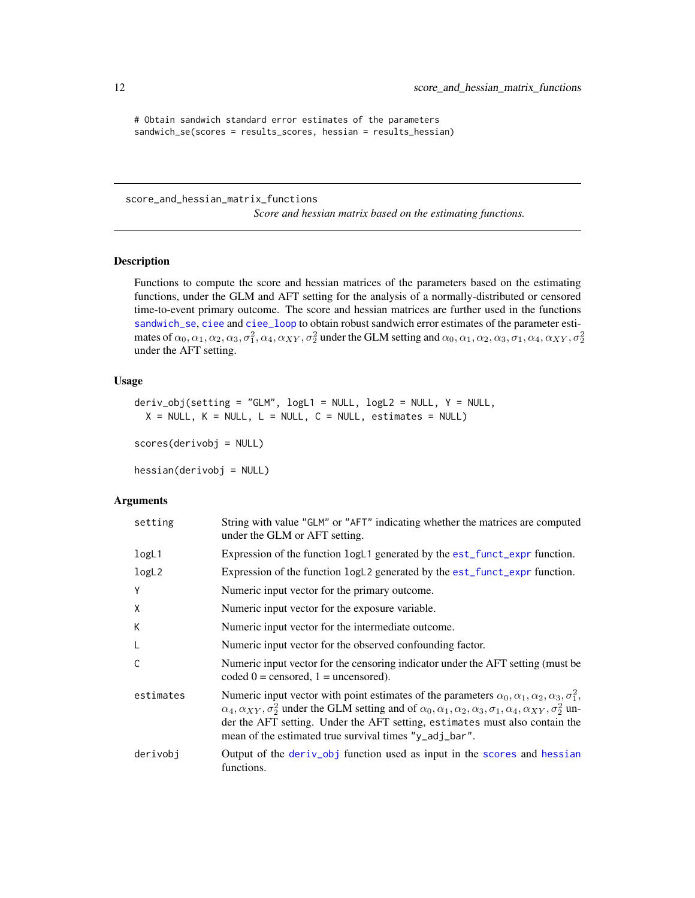```
# Obtain sandwich standard error estimates of the parameters
sandwich_se(scores = results_scores, hessian = results_hessian)
```
score\_and\_hessian\_matrix\_functions

*Score and hessian matrix based on the estimating functions.*

# <span id="page-11-1"></span>Description

Functions to compute the score and hessian matrices of the parameters based on the estimating functions, under the GLM and AFT setting for the analysis of a normally-distributed or censored time-to-event primary outcome. The score and hessian matrices are further used in the functions [sandwich\\_se](#page-9-1), [ciee](#page-2-1) and [ciee\\_loop](#page-2-2) to obtain robust sandwich error estimates of the parameter estimates of  $\alpha_0, \alpha_1, \alpha_2, \alpha_3, \sigma_1^2, \alpha_4, \alpha_{XY}, \sigma_2^2$  under the GLM setting and  $\alpha_0, \alpha_1, \alpha_2, \alpha_3, \sigma_1, \alpha_4, \alpha_{XY}, \sigma_2^2$ under the AFT setting.

#### Usage

```
deriv\_obj(setting = "GLM", logL1 = NULL, logL2 = NULL, Y = NULL,X = NULL, K = NULL, L = NULL, C = NULL, estimates = NULL)
```
scores(derivobj = NULL)

hessian(derivobj = NULL)

#### Arguments

| setting   | String with value "GLM" or "AFT" indicating whether the matrices are computed<br>under the GLM or AFT setting.                                                                                                                                                                                                                                                                                                            |
|-----------|---------------------------------------------------------------------------------------------------------------------------------------------------------------------------------------------------------------------------------------------------------------------------------------------------------------------------------------------------------------------------------------------------------------------------|
| logL1     | Expression of the function logL1 generated by the est_funct_expr function.                                                                                                                                                                                                                                                                                                                                                |
| logL2     | Expression of the function logL2 generated by the est_funct_expr function.                                                                                                                                                                                                                                                                                                                                                |
| Υ         | Numeric input vector for the primary outcome.                                                                                                                                                                                                                                                                                                                                                                             |
| Χ         | Numeric input vector for the exposure variable.                                                                                                                                                                                                                                                                                                                                                                           |
| K         | Numeric input vector for the intermediate outcome.                                                                                                                                                                                                                                                                                                                                                                        |
| L         | Numeric input vector for the observed confounding factor.                                                                                                                                                                                                                                                                                                                                                                 |
| C         | Numeric input vector for the censoring indicator under the AFT setting (must be<br>coded $0 =$ censored, $1 =$ uncensored).                                                                                                                                                                                                                                                                                               |
| estimates | Numeric input vector with point estimates of the parameters $\alpha_0, \alpha_1, \alpha_2, \alpha_3, \sigma_1^2$ ,<br>$\alpha_4, \alpha_{XY}, \sigma_2^2$ under the GLM setting and of $\alpha_0, \alpha_1, \alpha_2, \alpha_3, \sigma_1, \alpha_4, \alpha_{XY}, \sigma_2^2$ un-<br>der the AFT setting. Under the AFT setting, estimates must also contain the<br>mean of the estimated true survival times "y_adj_bar". |
| derivobj  | Output of the deriv_obj function used as input in the scores and hessian<br>functions.                                                                                                                                                                                                                                                                                                                                    |

<span id="page-11-0"></span>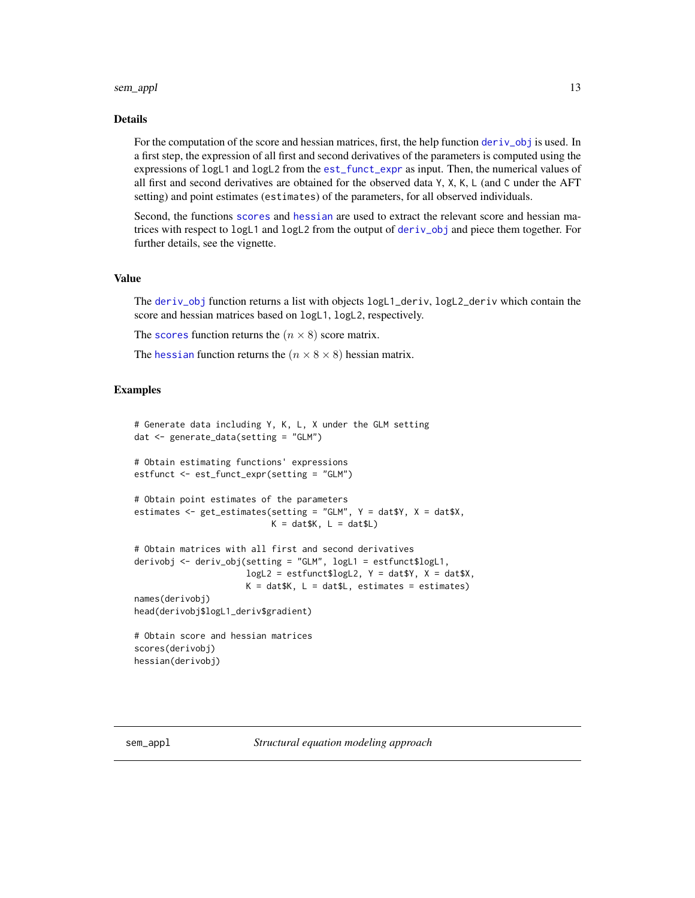#### <span id="page-12-0"></span>sem\_appl 13

#### Details

For the computation of the score and hessian matrices, first, the help function deriv<sub>-</sub>obj is used. In a first step, the expression of all first and second derivatives of the parameters is computed using the expressions of logL1 and logL2 from the [est\\_funct\\_expr](#page-4-1) as input. Then, the numerical values of all first and second derivatives are obtained for the observed data Y, X, K, L (and C under the AFT setting) and point estimates (estimates) of the parameters, for all observed individuals.

Second, the functions [scores](#page-11-1) and [hessian](#page-11-1) are used to extract the relevant score and hessian matrices with respect to logL1 and logL2 from the output of [deriv\\_obj](#page-11-1) and piece them together. For further details, see the vignette.

#### Value

The [deriv\\_obj](#page-11-1) function returns a list with objects logL1\_deriv, logL2\_deriv which contain the score and hessian matrices based on logL1, logL2, respectively.

The [scores](#page-11-1) function returns the  $(n \times 8)$  score matrix.

The [hessian](#page-11-1) function returns the  $(n \times 8 \times 8)$  hessian matrix.

# Examples

```
# Generate data including Y, K, L, X under the GLM setting
dat <- generate_data(setting = "GLM")
# Obtain estimating functions' expressions
estfunct <- est_funct_expr(setting = "GLM")
# Obtain point estimates of the parameters
estimates <- get_estimates(setting = "GLM", Y = dat$Y, X = dat$X,
                           K = dat$K, L = dat$L)
# Obtain matrices with all first and second derivatives
derivobj <- deriv_obj(setting = "GLM", logL1 = estfunct$logL1,
                      logL2 = estfunct$logL2, Y = dat$Y, X = dat$X,K = datsK, L = datsL, estimates = estimates)
names(derivobj)
head(derivobj$logL1_deriv$gradient)
# Obtain score and hessian matrices
scores(derivobj)
hessian(derivobj)
```
<span id="page-12-1"></span>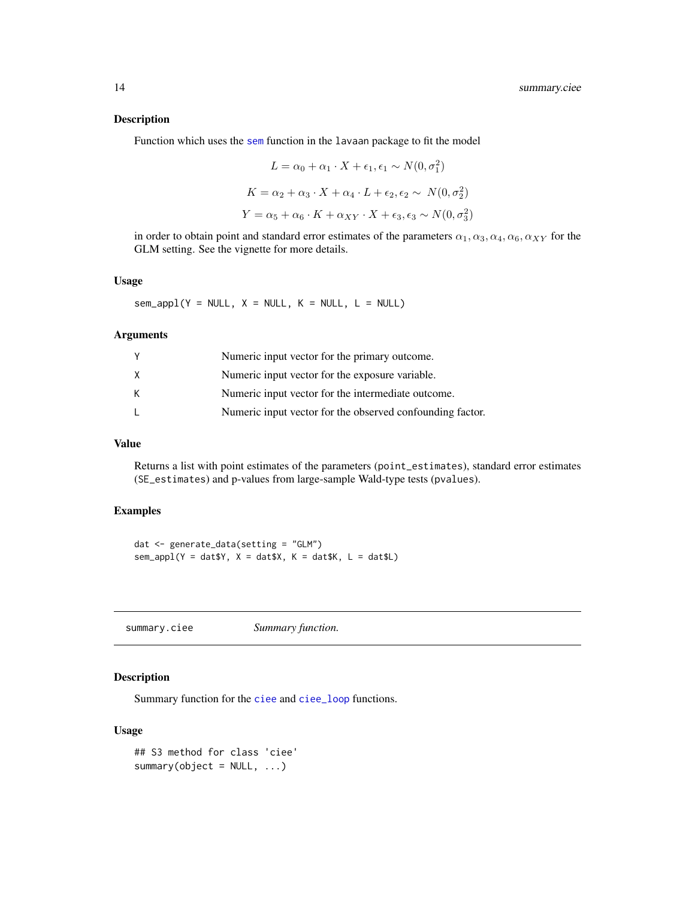# <span id="page-13-0"></span>Description

Function which uses the [sem](#page-0-0) function in the lavaan package to fit the model

$$
L = \alpha_0 + \alpha_1 \cdot X + \epsilon_1, \epsilon_1 \sim N(0, \sigma_1^2)
$$

$$
K = \alpha_2 + \alpha_3 \cdot X + \alpha_4 \cdot L + \epsilon_2, \epsilon_2 \sim N(0, \sigma_2^2)
$$

$$
Y = \alpha_5 + \alpha_6 \cdot K + \alpha_{XY} \cdot X + \epsilon_3, \epsilon_3 \sim N(0, \sigma_3^2)
$$

in order to obtain point and standard error estimates of the parameters  $\alpha_1, \alpha_3, \alpha_4, \alpha_6, \alpha_{XY}$  for the GLM setting. See the vignette for more details.

#### Usage

 $sem\_apply(Y = NULL, X = NULL, K = NULL, L = NULL)$ 

#### Arguments

| Y            | Numeric input vector for the primary outcome.             |
|--------------|-----------------------------------------------------------|
| X            | Numeric input vector for the exposure variable.           |
| К            | Numeric input vector for the intermediate outcome.        |
| $\mathbf{L}$ | Numeric input vector for the observed confounding factor. |

# Value

Returns a list with point estimates of the parameters (point\_estimates), standard error estimates (SE\_estimates) and p-values from large-sample Wald-type tests (pvalues).

# Examples

```
dat <- generate_data(setting = "GLM")
sem\_apply(Y = datY, X = datSX, K = datSK, L = datSL)
```
<span id="page-13-1"></span>summary.ciee *Summary function.*

# Description

Summary function for the [ciee](#page-2-1) and [ciee\\_loop](#page-2-2) functions.

# Usage

```
## S3 method for class 'ciee'
summary(object = NULL, ...)
```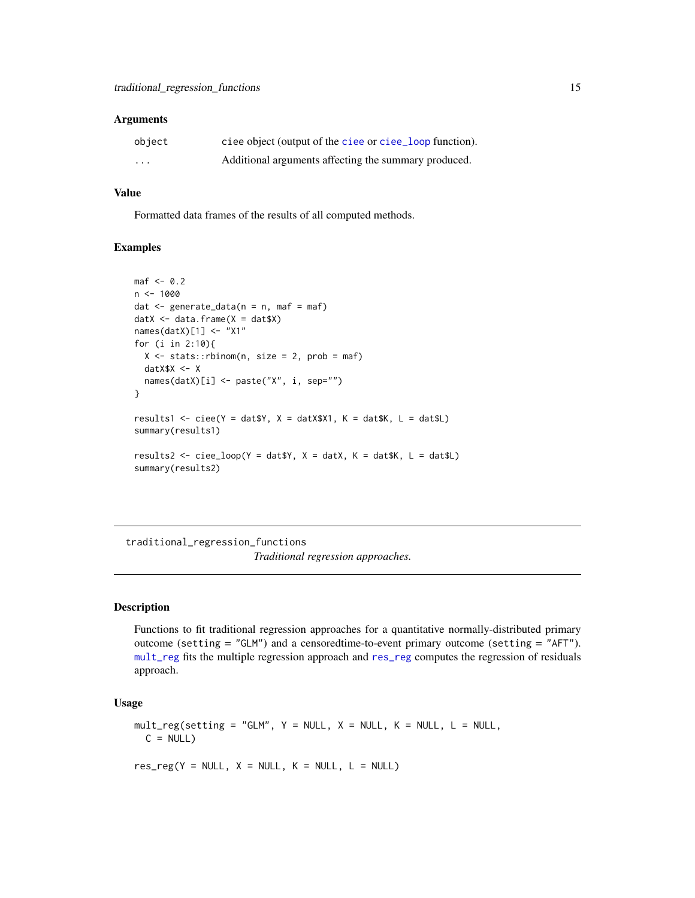#### <span id="page-14-0"></span>**Arguments**

| object   | ciee object (output of the ciee or ciee_loop function). |
|----------|---------------------------------------------------------|
| $\cdots$ | Additional arguments affecting the summary produced.    |

# Value

Formatted data frames of the results of all computed methods.

#### Examples

```
\text{maf} <- 0.2
n <- 1000
dat \leq generate_data(n = n, maf = maf)
datX \leq data.frame(X = dat$X)
names(datX)[1] <- "X1"
for (i in 2:10){
  X \le - stats::rbinom(n, size = 2, prob = maf)
  datX$X <- X
  names(datX)[i] <- paste("X", i, sep="")
}
results1 <- ciee(Y = dat$Y, X = datX$X1, K = dat$K, L = dat$L)
summary(results1)
results2 <- ciee_loop(Y = dat$Y, X = datX, K = dat$K, L = dat$L)
summary(results2)
```
traditional\_regression\_functions *Traditional regression approaches.*

#### <span id="page-14-1"></span>Description

Functions to fit traditional regression approaches for a quantitative normally-distributed primary outcome (setting = "GLM") and a censoredtime-to-event primary outcome (setting = "AFT"). [mult\\_reg](#page-14-1) fits the multiple regression approach and [res\\_reg](#page-14-1) computes the regression of residuals approach.

#### Usage

 $mult\_reg(setting = "GLM", Y = NULL, X = NULL, K = NULL, L = NULL,$  $C = NULL$ 

 $res\_reg(Y = NULL, X = NULL, K = NULL, L = NULL)$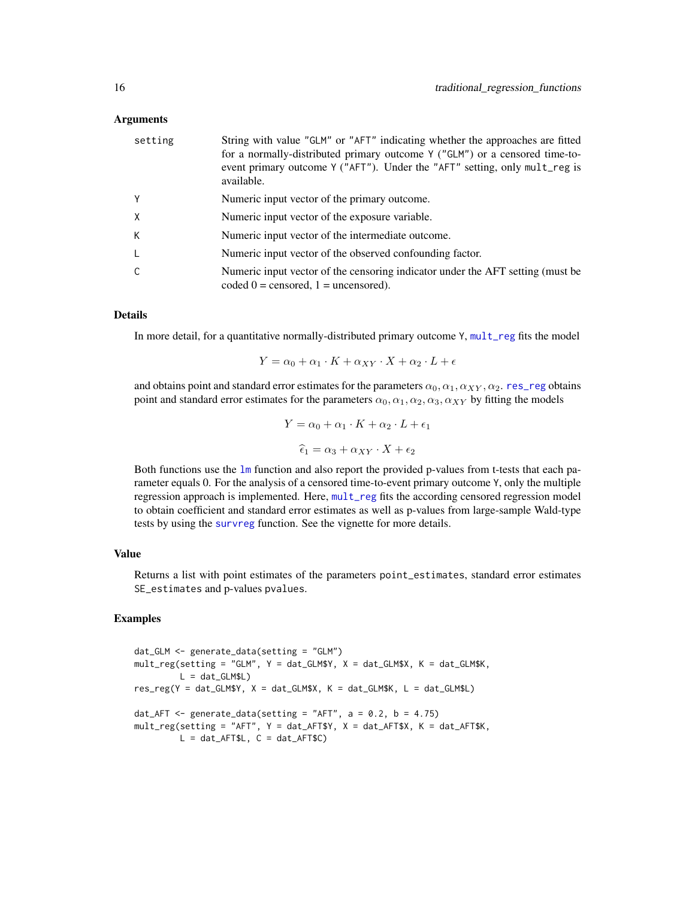#### <span id="page-15-0"></span>Arguments

| setting | String with value "GLM" or "AFT" indicating whether the approaches are fitted<br>for a normally-distributed primary outcome Y ("GLM") or a censored time-to-<br>event primary outcome Y ("AFT"). Under the "AFT" setting, only mult_reg is<br>available. |
|---------|----------------------------------------------------------------------------------------------------------------------------------------------------------------------------------------------------------------------------------------------------------|
| Υ       | Numeric input vector of the primary outcome.                                                                                                                                                                                                             |
| X       | Numeric input vector of the exposure variable.                                                                                                                                                                                                           |
| К       | Numeric input vector of the intermediate outcome.                                                                                                                                                                                                        |
|         | Numeric input vector of the observed confounding factor.                                                                                                                                                                                                 |
|         | Numeric input vector of the censoring indicator under the AFT setting (must be<br>coded $0 =$ censored, $1 =$ uncensored).                                                                                                                               |

# Details

In more detail, for a quantitative normally-distributed primary outcome Y, [mult\\_reg](#page-14-1) fits the model

$$
Y = \alpha_0 + \alpha_1 \cdot K + \alpha_{XY} \cdot X + \alpha_2 \cdot L + \epsilon
$$

and obtains point and standard error estimates for the parameters  $\alpha_0, \alpha_1, \alpha_{XY}, \alpha_2$ . [res\\_reg](#page-14-1) obtains point and standard error estimates for the parameters  $\alpha_0, \alpha_1, \alpha_2, \alpha_3, \alpha_{XY}$  by fitting the models

$$
Y = \alpha_0 + \alpha_1 \cdot K + \alpha_2 \cdot L + \epsilon_1
$$

$$
\hat{\epsilon}_1 = \alpha_3 + \alpha_{XY} \cdot X + \epsilon_2
$$

Both functions use the 1m function and also report the provided p-values from t-tests that each parameter equals 0. For the analysis of a censored time-to-event primary outcome Y, only the multiple regression approach is implemented. Here, [mult\\_reg](#page-14-1) fits the according censored regression model to obtain coefficient and standard error estimates as well as p-values from large-sample Wald-type tests by using the [survreg](#page-0-0) function. See the vignette for more details.

# Value

Returns a list with point estimates of the parameters point\_estimates, standard error estimates SE\_estimates and p-values pvalues.

#### Examples

```
dat_GLM <- generate_data(setting = "GLM")
mult_reg(setting = "GLM", Y = dat_GLM$Y, X = dat_GLM$X, K = dat_GLM$K,
        L = dat_GLM$L)res\_reg(Y = dat\_GLM$Y, X = dat\_GLM$X, K = dat\_GLM$K, L = dat\_GLM$L)dat_AFT \leq generate_data(setting = "AFT", a = 0.2, b = 4.75)
mult_reg(setting = "AFT", Y = dat_AFT$Y, X = dat_AFT$X, K = dat_AFT$K,
        L = dat_AFT$L, C = dat_AFT$C)
```